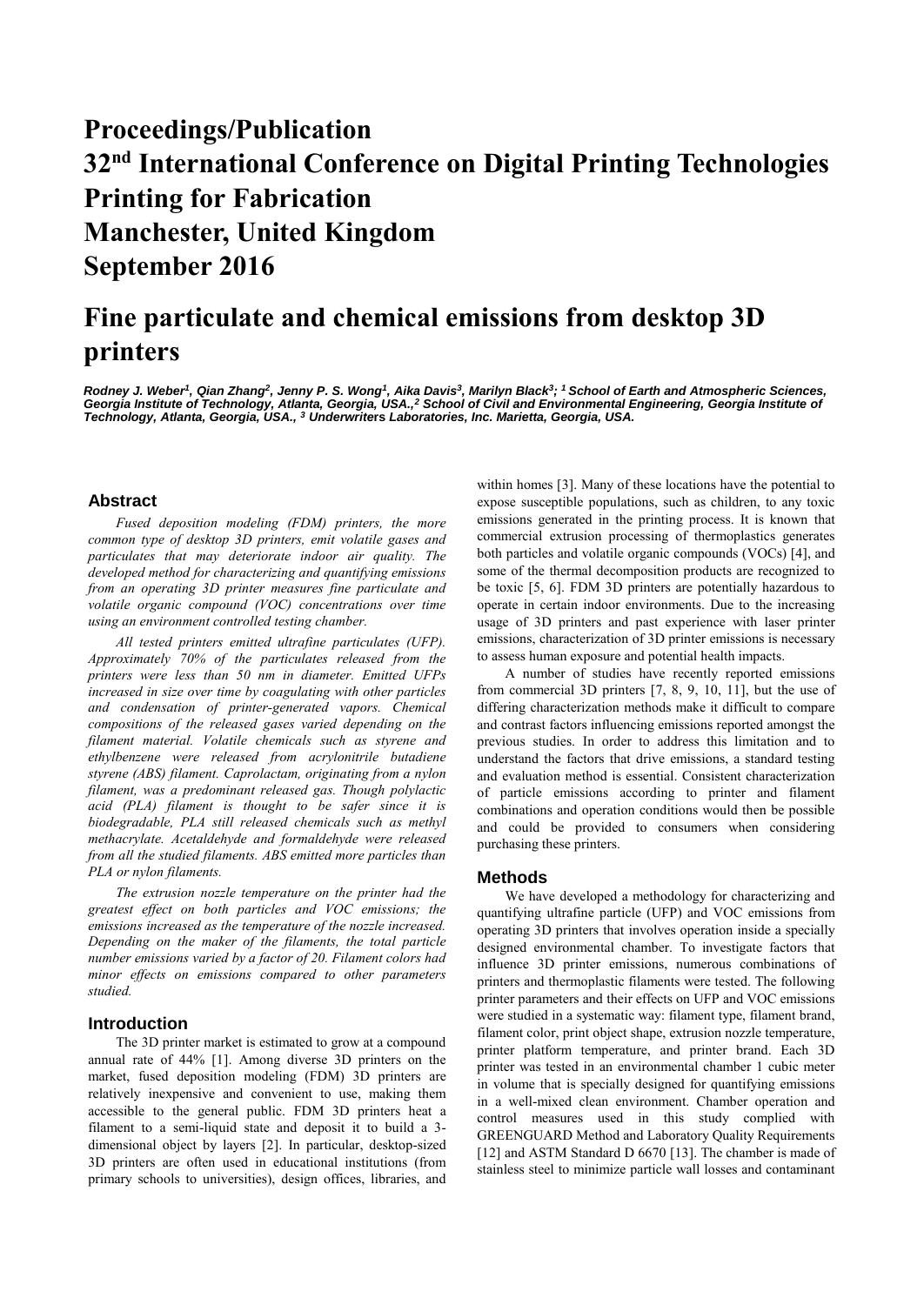# **Proceedings/Publication 32nd International Conference on Digital Printing Technologies Printing for Fabrication Manchester, United Kingdom September 2016**

# **Fine particulate and chemical emissions from desktop 3D printers**

*Rodney J. Weber<sup>1</sup>, Qian Zhang<sup>2</sup>, Jenny P. S. Wong<sup>1</sup>, Aika Davis<sup>3</sup>, Marilyn Black<sup>3</sup>; <sup>1</sup> School of Earth and Atmospheric Sciences, Georgia Institute of Technology, Atlanta, Georgia, USA.,<sup>2</sup> School of Civil and Environmental Engineering, Georgia Institute of Technology, Atlanta, Georgia, USA., <sup>3</sup> Underwrite***rs** *Laboratories, Inc. Marietta, Georgia, USA.*

# **Abstract**

*Fused deposition modeling (FDM) printers, the more common type of desktop 3D printers, emit volatile gases and particulates that may deteriorate indoor air quality. The developed method for characterizing and quantifying emissions from an operating 3D printer measures fine particulate and volatile organic compound (VOC) concentrations over time using an environment controlled testing chamber.*

*All tested printers emitted ultrafine particulates (UFP). Approximately 70% of the particulates released from the printers were less than 50 nm in diameter. Emitted UFPs increased in size over time by coagulating with other particles and condensation of printer-generated vapors. Chemical compositions of the released gases varied depending on the filament material. Volatile chemicals such as styrene and ethylbenzene were released from acrylonitrile butadiene styrene (ABS) filament. Caprolactam, originating from a nylon filament, was a predominant released gas. Though polylactic acid (PLA) filament is thought to be safer since it is biodegradable, PLA still released chemicals such as methyl methacrylate. Acetaldehyde and formaldehyde were released from all the studied filaments. ABS emitted more particles than PLA or nylon filaments.* 

*The extrusion nozzle temperature on the printer had the greatest effect on both particles and VOC emissions; the emissions increased as the temperature of the nozzle increased. Depending on the maker of the filaments, the total particle number emissions varied by a factor of 20. Filament colors had minor effects on emissions compared to other parameters studied.* 

## **Introduction**

The 3D printer market is estimated to grow at a compound annual rate of 44% [1]. Among diverse 3D printers on the market, fused deposition modeling (FDM) 3D printers are relatively inexpensive and convenient to use, making them accessible to the general public. FDM 3D printers heat a filament to a semi-liquid state and deposit it to build a 3 dimensional object by layers [2]. In particular, desktop-sized 3D printers are often used in educational institutions (from primary schools to universities), design offices, libraries, and within homes [3]. Many of these locations have the potential to expose susceptible populations, such as children, to any toxic emissions generated in the printing process. It is known that commercial extrusion processing of thermoplastics generates both particles and volatile organic compounds (VOCs) [4], and some of the thermal decomposition products are recognized to be toxic [5, 6]. FDM 3D printers are potentially hazardous to operate in certain indoor environments. Due to the increasing usage of 3D printers and past experience with laser printer emissions, characterization of 3D printer emissions is necessary to assess human exposure and potential health impacts.

A number of studies have recently reported emissions from commercial 3D printers [7, 8, 9, 10, 11], but the use of differing characterization methods make it difficult to compare and contrast factors influencing emissions reported amongst the previous studies. In order to address this limitation and to understand the factors that drive emissions, a standard testing and evaluation method is essential. Consistent characterization of particle emissions according to printer and filament combinations and operation conditions would then be possible and could be provided to consumers when considering purchasing these printers.

#### **Methods**

We have developed a methodology for characterizing and quantifying ultrafine particle (UFP) and VOC emissions from operating 3D printers that involves operation inside a specially designed environmental chamber. To investigate factors that influence 3D printer emissions, numerous combinations of printers and thermoplastic filaments were tested. The following printer parameters and their effects on UFP and VOC emissions were studied in a systematic way: filament type, filament brand, filament color, print object shape, extrusion nozzle temperature, printer platform temperature, and printer brand. Each 3D printer was tested in an environmental chamber 1 cubic meter in volume that is specially designed for quantifying emissions in a well-mixed clean environment. Chamber operation and control measures used in this study complied with GREENGUARD Method and Laboratory Quality Requirements [12] and ASTM Standard D 6670 [13]. The chamber is made of stainless steel to minimize particle wall losses and contaminant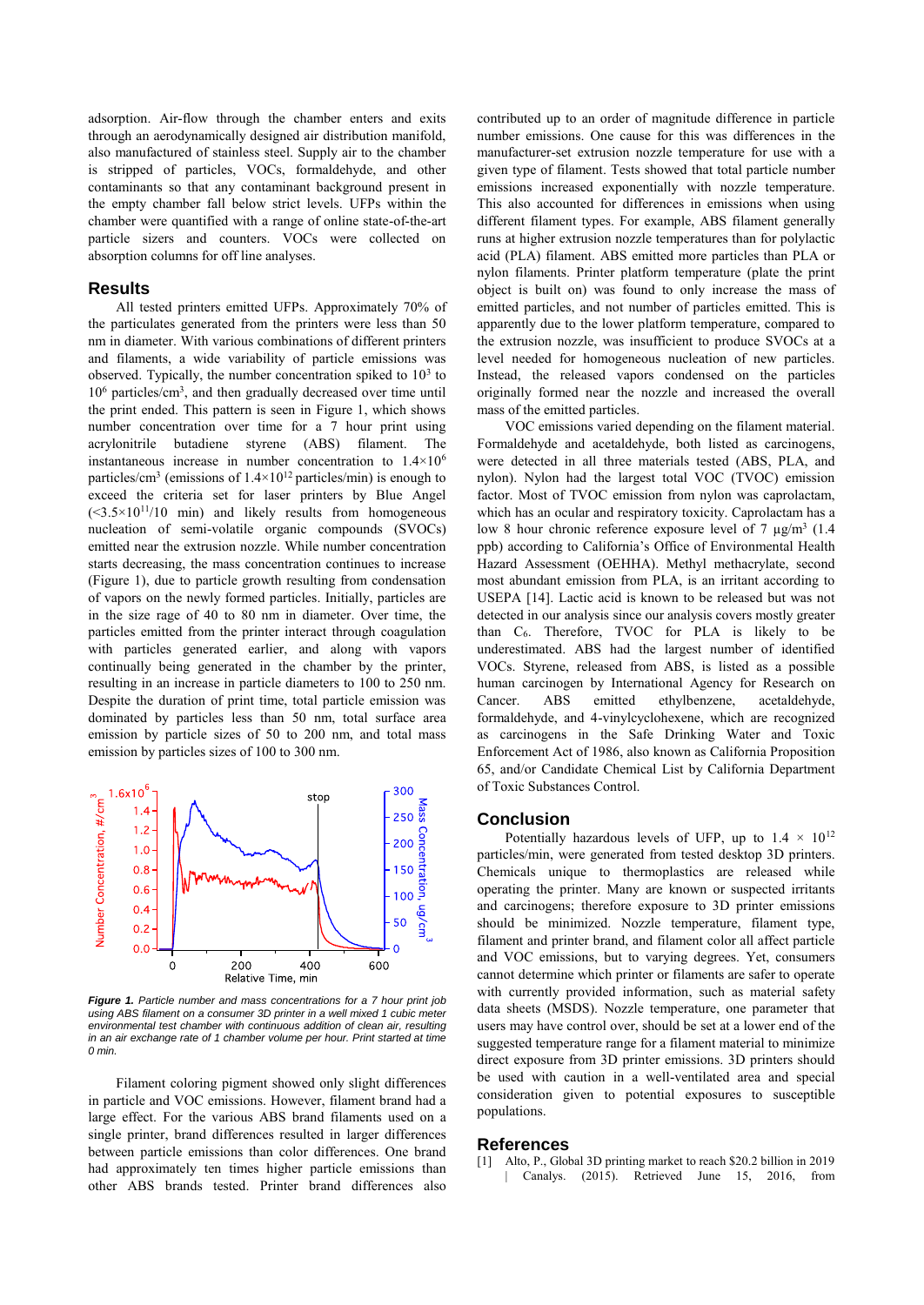adsorption. Air-flow through the chamber enters and exits through an aerodynamically designed air distribution manifold, also manufactured of stainless steel. Supply air to the chamber is stripped of particles, VOCs, formaldehyde, and other contaminants so that any contaminant background present in the empty chamber fall below strict levels. UFPs within the chamber were quantified with a range of online state-of-the-art particle sizers and counters. VOCs were collected on absorption columns for off line analyses.

### **Results**

All tested printers emitted UFPs. Approximately 70% of the particulates generated from the printers were less than 50 nm in diameter. With various combinations of different printers and filaments, a wide variability of particle emissions was observed. Typically, the number concentration spiked to  $10<sup>3</sup>$  to 10<sup>6</sup> particles/cm<sup>3</sup> , and then gradually decreased over time until the print ended. This pattern is seen in Figure 1, which shows number concentration over time for a 7 hour print using acrylonitrile butadiene styrene (ABS) filament. The instantaneous increase in number concentration to 1.4×10<sup>6</sup> particles/cm<sup>3</sup> (emissions of  $1.4 \times 10^{12}$  particles/min) is enough to exceed the criteria set for laser printers by Blue Angel  $(\leq 3.5 \times 10^{11}/10$  min) and likely results from homogeneous nucleation of semi-volatile organic compounds (SVOCs) emitted near the extrusion nozzle. While number concentration starts decreasing, the mass concentration continues to increase (Figure 1), due to particle growth resulting from condensation of vapors on the newly formed particles. Initially, particles are in the size rage of 40 to 80 nm in diameter. Over time, the particles emitted from the printer interact through coagulation with particles generated earlier, and along with vapors continually being generated in the chamber by the printer, resulting in an increase in particle diameters to 100 to 250 nm. Despite the duration of print time, total particle emission was dominated by particles less than 50 nm, total surface area emission by particle sizes of 50 to 200 nm, and total mass emission by particles sizes of 100 to 300 nm.



*Figure 1. Particle number and mass concentrations for a 7 hour print job*  using ABS filament on a consumer 3D printer in a well mixed 1 cubic meter *environmental test chamber with continuous addition of clean air, resulting in an air exchange rate of 1 chamber volume per hour. Print started at time 0 min.*

Filament coloring pigment showed only slight differences in particle and VOC emissions. However, filament brand had a large effect. For the various ABS brand filaments used on a single printer, brand differences resulted in larger differences between particle emissions than color differences. One brand had approximately ten times higher particle emissions than other ABS brands tested. Printer brand differences also contributed up to an order of magnitude difference in particle number emissions. One cause for this was differences in the manufacturer-set extrusion nozzle temperature for use with a given type of filament. Tests showed that total particle number emissions increased exponentially with nozzle temperature. This also accounted for differences in emissions when using different filament types. For example, ABS filament generally runs at higher extrusion nozzle temperatures than for polylactic acid (PLA) filament. ABS emitted more particles than PLA or nylon filaments. Printer platform temperature (plate the print object is built on) was found to only increase the mass of emitted particles, and not number of particles emitted. This is apparently due to the lower platform temperature, compared to the extrusion nozzle, was insufficient to produce SVOCs at a level needed for homogeneous nucleation of new particles. Instead, the released vapors condensed on the particles originally formed near the nozzle and increased the overall mass of the emitted particles.

VOC emissions varied depending on the filament material. Formaldehyde and acetaldehyde, both listed as carcinogens, were detected in all three materials tested (ABS, PLA, and nylon). Nylon had the largest total VOC (TVOC) emission factor. Most of TVOC emission from nylon was caprolactam, which has an ocular and respiratory toxicity. Caprolactam has a low 8 hour chronic reference exposure level of 7  $\mu$ g/m<sup>3</sup> (1.4) ppb) according to California's Office of Environmental Health Hazard Assessment (OEHHA). Methyl methacrylate, second most abundant emission from PLA, is an irritant according to USEPA [14]. Lactic acid is known to be released but was not detected in our analysis since our analysis covers mostly greater than C6. Therefore, TVOC for PLA is likely to be underestimated. ABS had the largest number of identified VOCs. Styrene, released from ABS, is listed as a possible human carcinogen by International Agency for Research on Cancer. ABS emitted ethylbenzene, acetaldehyde, formaldehyde, and 4-vinylcyclohexene, which are recognized as carcinogens in the Safe Drinking Water and Toxic Enforcement Act of 1986, also known as California Proposition 65, and/or Candidate Chemical List by California Department of Toxic Substances Control.

#### **Conclusion**

Potentially hazardous levels of UFP, up to  $1.4 \times 10^{12}$ particles/min, were generated from tested desktop 3D printers. Chemicals unique to thermoplastics are released while operating the printer. Many are known or suspected irritants and carcinogens; therefore exposure to 3D printer emissions should be minimized. Nozzle temperature, filament type, filament and printer brand, and filament color all affect particle and VOC emissions, but to varying degrees. Yet, consumers cannot determine which printer or filaments are safer to operate with currently provided information, such as material safety data sheets (MSDS). Nozzle temperature, one parameter that users may have control over, should be set at a lower end of the suggested temperature range for a filament material to minimize direct exposure from 3D printer emissions. 3D printers should be used with caution in a well-ventilated area and special consideration given to potential exposures to susceptible populations.

### **References**

[1] Alto, P., Global 3D printing market to reach \$20.2 billion in 2019 | Canalys. (2015). Retrieved June 15, 2016, from